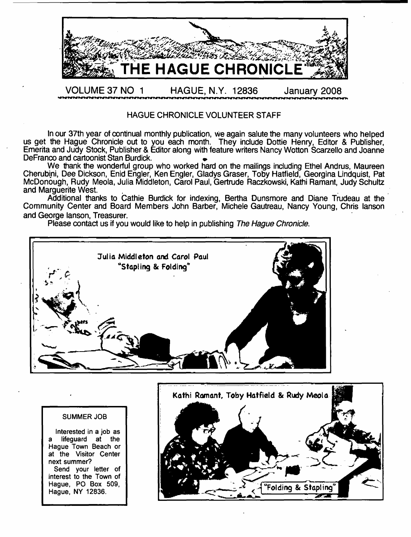

#### HAGUE CHRONICLE VOLUNTEER STAFF

In our 37th year of continual monthly publication, we again salute the many volunteers who helped us get the Hague Chronicle out to you each month. They include Dottie Henry, Editor & Publisher, Emerita and Judy Stock, Publisher & Editor along with feature writers Nancy Wotton Scarzello and Joanne DeFranco and cartoonist Stan Burdick.

We thank the wonderful group who worked hard on the mailings including Ethel Andrus, Maureen Cherubini, Dee Dickson, Enid Engler, Ken Engler, Gladys Graser, Toby Hatfield, Georgina Lindquist, Pat McDonough, Rudy Meola, Julia Middleton, Carol Paul, Gertrude Raczkowski, Kathi Ramant, Judy Schultz and Marguerite West.

Additional thanks to Cathie Burdick for indexing, Bertha Dunsmore and Diane Trudeau at the Community Center and Board Members John Barber, Michele Gautreau, Nancy Young, Chris lanson and George lanson, Treasurer.

Please contact us if you would like to help in publishing *The Hague Chronicle*.



#### SUMMER JOB

Interested in a job as a lifeguard at the Hague Town Beach or at the Visitor Center next summer? Send your letter of interest to the Town of Hague, PO Box 509, Hague, NY 12836.

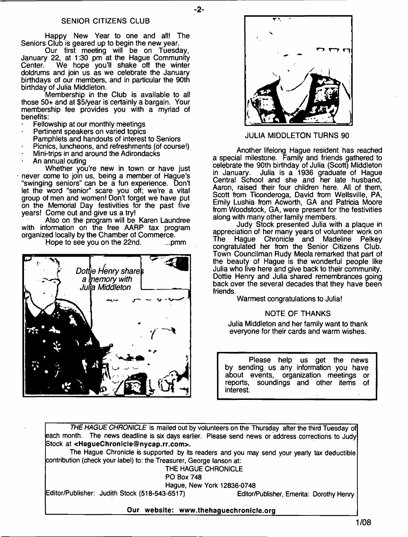#### SENIOR CITIZENS CLUB

Happy New Year to one and all! The Seniors Club is geared up to begin the new year.

Our first meeting will be on Tuesday, January 22, at 1:30 pm at the Hague Community Center. We hope you'll shake off the winter doldrums and join us as we celebrate the January birthdays of our members, and in particular the 90th birthday of Julia Middleton.

Membership in the Club is available to all those 50+ and at \$5/year is certainly a bargain. Your membership fee provides you with a myriad of benefits:

- Fellowship at our monthly meetings
- Pertinent speakers on varied topics
- Pamphlets and handouts of interest to Seniors
- Picnics, luncheons, and refreshments (of course!)
- Mini-trips in and around the Adirondacks
- An annual outing

Whether you're new in town or have just never come to join us, being a member of Hague's "swinging seniors" can be a fun experience. Don't let the word "senior" scare you off; we're a vital group of men and women! Don't forget we have put on the Memorial Day festivities for the past five years! Come out and give us a try!

Also on the program will be Karen Laundree with information on the free AARP tax program organized locally by the Chamber of Commerce.



Hope to see you on the 22nd. ... pmm



JULIA MIDDLETON TURNS 90

Another lifelong Hague resident has reached a special milestone. Family and friends gathered to celebrate the 90th birthday of Julia (Scott) Middleton in January. Julia is a 1936 graduate of Hague Central School and she and her late husband, Aaron, raised their four children here. All of them, Scott from Ticonderoga, David from Wellsville, PA, Emily Lushia from Acworth, GA and Patricia Moore from Woodstock, GA, were present for the festivities along with many other family members.

Judy Stock presented Julia with a plaque in appreciation of her many years of volunteer work on<br>The Haque Chronicle and Madeline Pelkev Hague Chronicle and Madeline Pelkey congratulated her from the Senior Citizens Club. Town Councilman Rudy Meola remarked that part of the beauty of Hague is the wonderful people like Julia who live here and give back to their community. Dottie Henry and Julia shared remembrances going back over the several decades that they have been friends.

Warmest congratulations to Julia!

#### NOTE OF THANKS

Julia Middleton and her family want to thank everyone for their cards and warm wishes.

Please help us get the news by sending us any information you have about events, organization meetings or soundings and other items of interest.

*THE HAGUE CHRONICLE* is mailed out by volunteers on the Thursday after the third Tuesday of each month. The news deadline is six days earlier. Please send news or address corrections to Judy Stock at **<[HagueChronicle@nycap.rr.com>](mailto:HagueChronicle@nycap.rr.com).**

- **2**-

The Hague Chronicle is supported by its readers and you may send your yearly tax deductible contribution (check your label) to: the Treasurer, George lanson at:

THE HAGUE CHRONICLE

PO Box 748

Hague, New York 12836-0748

Editor/Publisher: Judith Stock (518-543-6517) Editor/Publisher, Emerita: Dorothy Henry

**\_\_\_\_\_\_\_\_\_\_\_\_\_\_\_\_\_\_\_\_\_ Our website: [www.thehaguechronlcle.org](http://www.thehaguechronlcle.org)\_\_\_\_\_\_\_\_\_\_\_\_\_\_\_\_\_\_\_\_\_\_**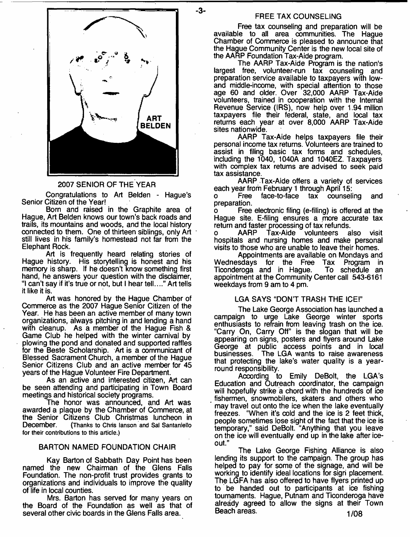- **3**-



#### 2007 SENIOR OF THE YEAR

Congratulations to Art Belden - Hague's Senior Citizen of the Year!

Born and raised in the Graphite area of Hague, Art Belden knows our town's back roads and trails, its mountains and woods, and the local history connected to them. One of thirteen siblings, only Art still lives in his family's homestead not far from the Elephant Rock.

Art is frequently heard relating stories of Hague history. His storytelling is honest and his memory is sharp. If he doesn't know something first hand, he answers your question with the disclaimer, "I can't say if it's true or not, but I hear tell...." Art tells it like it is.

Art was honored by the Hague Chamber of Commerce as the 2007 Hague Senior Citizen of the Year. He has been an active member of many town organizations, always pitching in and lending a hand with cleanup. As a member of the Hague Fish & Game Club he helped with the winter carnival by plowing the pond and donated and supported raffles for the Beste Scholarship. Art is a communicant of Blessed Sacrament Church, a member of the Hague Senior Citizens Club and an active member for 45 years of the Hague Volunteer Fire Department.

As an active and interested citizen, Art can be seen attending and participating in Town Board meetings and historical society programs.

The honor was announced, and Art was awarded a plaque by the Chamber of Commerce, at the Senior Citizens Club Christmas luncheon in<br>December. (Thanks to Chris lanson and Sal Santaniello (Thanks to Chris lanson and Sal Santaniello for their contributions to this article.)

#### BARTON NAMED FOUNDATION CHAIR

Kay Barton of Sabbath Day Point has been named the new Chairman of the Glens Falls Foundation. The non-profit trust provides grants to organizations and individuals to improve the quality of life in local counties.

Mrs. Barton has served for many years on the Board of the Foundation as well as that of several other civic boards in the Glens Falls area.

#### FREE TAX COUNSELING

Free tax counseling and preparation will be available to all area communities. The Hague Chamber of Commerce is pleased to announce that the Hague Community Center is the new local site of the AARP Foundation Tax-Aide program.

The AARP Tax-Aide Program is the nation's largest free, volunteer-run tax counseling and preparation service available to taxpayers with lowand middle-income, with special attention to those age 60 and older. Over 32,000 AARP Tax-Aide volunteers, trained in cooperation with the Internal Revenue Service (IRS), now help over 1.94 million taxpayers file their federal, state, and local tax returns each year at over 8,000 AARP Tax-Aide sites nationwide.

AARP Tax-Aide helps taxpayers file their personal income tax returns. Volunteers are trained to assist in filing basic tax forms and schedules, including the 1040, 1040A and 1040EZ. Taxpayers with complex tax returns are advised to seek paid tax assistance.

AARP Tax-Aide offers a variety of services

each year from February 1 through April 15:<br>o Free face-to-face tax counseli face-to-face tax counseling and preparation.

Free electronic filing (e-filing) is offered at the Hague site. E-filing ensures a more accurate tax return and faster processing of tax refunds,

o AARP Tax-Aide volunteers also visit hospitals and nursing homes and make personal visits to those who are unable to leave their homes.

Appointments are available on Mondays and<br>sdays for the Free Tax Program in Wednesdays for the Free Tax Program in Ticonderoga and in Hague. appointment at the Community Center call 543-6161 weekdays from 9 am to 4 pm.

#### LGA SAYS "DON'T TRASH THE ICE!"

The Lake George Association has launched a campaign to urge Lake George winter sports enthusiasts to refrain from leaving trash on the ice. "Carry On, Carry Off" is the slogan that will be appearing on signs, posters and flyers around Lake George at public access points and in local businesses. The LGA wants to raise awareness that protecting the lake's water quality is a yearround responsibility.

According to Emily DeBolt, the LGA's Education and Outreach coordinator, the campaign will hopefully strike a chord with the hundreds of ice fishermen, snowmobilers, skaters and others who may travel out onto the ice when the lake eventually freezes. "When it's cold and the ice is 2 feet thick, people sometimes lose sight of the fact that the ice is temporary," said DeBolt. "Anything that you leave on the ice will eventually end up in the lake after iceout."

The Lake George Fishing Alliance is also lending its support to the campaign. The group has helped to pay for some of the signage, and will be working to identify ideal locations for sign placement. The LGFA has also offered to have flyers printed up to be handed out to participants at ice fishing tournaments. Hague, Putnam and Ticonderoga have already agreed to allow the signs at their Town Beach areas. **1/08**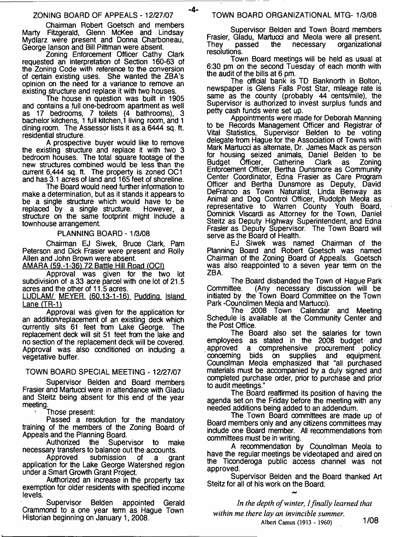#### ZONING BOARD OF APPEALS - 12/27/07

Chairman Robert Goetsch and members Marty Fitzgerald, Glenn McKee and Lindsay Mydlarz were present and Donna Charboneau, George lanson and Bill Pittman were absent.

Zoning Enforcement Officer Cathy Clark requested an interpretation of Section 160-63 of the Zoning Code with reference to the conversion of certain existing uses. She wanted the ZBA's opinion on the need for a variance to remove an existing structure and replace it with two houses.

The house in question was built in 1905 and contains a full one-bedroom apartment as well as 17 bedrooms, 7 toilets (4 bathrooms), bachelor kitchens, 1 full kitchen,1 living room, and 1 dining room. The Assessor lists it as a 6444 sq. ft. residential structure.

A prospective buyer would like to remove the existing structure and replace it with two 3 bedroom houses. The total square footage of the new structures combined would be less than the current 6,444 sq. ft. The property is zoned OC1 and has 3.1 acres of land and 165 feet of shoreline.

The Board would need further information to make a determination, but as it stands it appears to be a single structure which would have to be replaced by a single structure. However, a replaced by a single structure. structure on the same footprint might include a townhouse arrangement.

PLANNING BOARD - 1/3/08

Chairman EJ Siwek, Bruce Clark, Pam Peterson and Dick Frasier were present and Roily Allen and John Brown were absent.

AMARA (59.-1-36) 72 Battle Hill Road *(OC\)*

Approval was given for the two lot subdivision of a 33 acre parcel with one lot of 21.5 acres and the other of 11.5 acres.

LUDLAM/ MEYER (60.13-1-16) Pudding Island Lane  $(TR-1)$ 

Approval was given for the application for an addition/replacement of an existing deck which currently sits 61 feet from Lake George. The replacement deck will sit 51 feet from the lake and no section of the replacement deck will be covered. Approval was also conditioned on including a vegetative buffer.

#### TOWN BOARD SPECIAL MEETING - 12/27/07

Supervisor Belden and Board members Frasier and Martucci were in attendance with Gladu and Steitz being absent for this end of the year meeting.

1 Those present:

Passed a resolution for the mandatory training of the members of the Zoning Board of Appeals and the Planning Board.

Supervisor to make necessary transfers to balance out the accounts.

Approved submission of a grant application for the Lake George Watershed region under a Smart Growth Grant Project.

Authorized an increase in the property tax exemption for older residents with specified income levels.

Supervisor Belden appointed Gerald Crammond to a one year term as Hague Town Historian beginning on January 1, 2008.

#### TOWN BOARD ORGANIZATIONAL MTG- 1/3/08

Supervisor Belden and Town Board members Frasier, Gladu, Martucci and Meola were all present. organizational resolutions.

Town Board meetings will be held as usual at 6:30 pm on the second Tuesday of each month with the audit of the bills at 6 pm.

The official bank is TD Banknorth in Bolton, newspaper is Glens Falls Post Star, mileage rate is same as the county (probably 44 cents/mile), the Supervisor is authorized to invest surplus funds and petty cash funds were set up.

Appointments were made for Deborah Manning to be Records Management Officer and Registrar of Vital Statistics, Supervisor Belden to be voting delegate from Hague for the Association of Towns with Mark Martucci as alternate, Dr. James Mack as person for housing seized animals, Daniel Belden to be<br>Budget Officer, Catherine Clark as Zoning **Catherine** Enforcement Officer, Bertha Dunsmore as Community Center Coordinator, Edna Frasier as Care Program Officer and Bertha Dunsmore as Deputy, David DeFranco as Town Naturalist, Linda Benway as Animal and Dog Control Officer, Rudolph Meola as representative to Warren County Youth Board, Dominick Viscardi as Attorney for the Town, Daniel Steitz as Deputy Highway Superintendent, and Edna Frasier as Deputy Supervisor. The Town Board will serve as the Board of Health.

EJ Siwek was named Chairman of the Planning Board and Robert Goetsch was named Chairman of the Zoning Board of Appeals. Goetsch was also reappointed to a seven year term on the ZBA.

The Board disbanded the Town of Hague Park<br>Committee. (Anv. necessary discussion will be (Any necessary discussion will be initiated by the Town Board Committee on the Town Park -Coundlmen Meola and Martucci).

The 2008 Town Calendar and Meeting Schedule is available at the Community Center and the Post Office.

The Board also set the salaries for town employees as stated in the 2008 budget and approved a comprehensive procurement policy<br>concerning bids on supplies and equipment. concerning bids on supplies and equipment. Councilman Meola emphasized that "all purchased materials must be accompanied by a duly signed and completed purchase order, prior to purchase and prior to audit meetings."

The Board reaffirmed its position of having the agenda set on the Friday before the meeting with any needed additions being added to an addendum.

The Town Board committees are made up of Board members only and any citizens committees may include one Board member. All recommendations from committees must be in writing.

A recommendation by Councilman Meola to have the regular meetings be videotaped and aired on the Ticonderoga public access channel was not approved.

Supervisor Belden and the Board thanked Art Steitz for all of his work on the Board.

*In the depth of winter, I finally learned that within me there lay an invincible summer.* Albert Camus (1913 - 1960) 1/08

-4-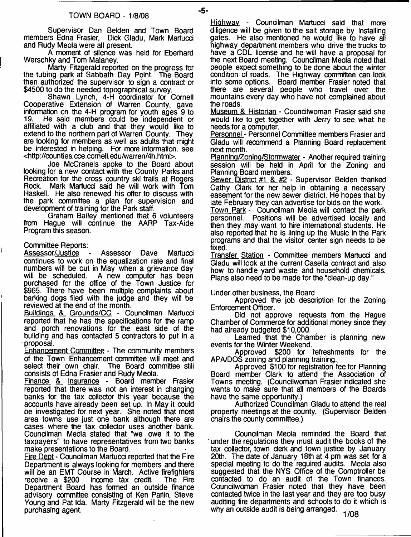Supervisor Dan Belden and Town Board members Edna Frasier, Dick Gladu, Mark Martucci and Rudy Meola were all present.

A moment of silence was held for Eberhard Werschky and Tom Malaney.

Marty Fitzgerald reported on the progress for the tubing park at Sabbath Day Point. The Board then authorized the supervisor to sign a contract or \$4500 to do the needed topographical survey.

Shawn Lynch, 4-H coordinator for Cornell Cooperative Extension of Warren County, gave information on the 4-H program for youth ages 9 to He said members could be independent or affiliated with a dub and that they would like to extend to the northern part of Warren County.. They are looking for members as well as adults that might be interested in helping. For more information, see <[http://counties.cce.cornell.edu/Warren/4h.html>](http://counties.cce.cornell.edu/Warren/4h.html).

Joe McCranels spoke to the Board about looking for a new contact with the County Parks and Recreation for the cross country ski trails at Rogers Rock. Mark Martucci said he will work with Tom Haskell. He also renewed his offer to discuss with the park committee a plan for supervision and development of training for the Park staff.

Graham Bailey mentioned that 6 volunteers from Hague will continue the AARP Tax-Aide Program this season.

#### Committee Reports:

Assessor/Justice - Assessor Dave Martucci continues to work on the equalization rate and final numbers will be out in May when a grievance day<br>will be scheduled. A new computer has been A new computer has been purchased for the office of the Town Justice for \$965. There have been multiple complaints about barking dogs filed with the judge and they will be reviewed at the end of the month.

Buildings &\_ Grounds/CC - Councilman Martucci reported that he has the specifications for the ramp and porch renovations for the east side of the building and has contacted 5 contractors to put in a proposal.

Enhancement Committee - The community members of the Town Enhancement committee will meet and select their own chair. The Board committee still consists of Edna Frasier and Rudy Meola.

Finance &\_ Insurance - Board member Frasier reported that there was not an interest in changing banks for the tax collector this year because the accounts have already been set up. In May it could be investigated for next year. She noted that most area towns use just one bank although there are cases where the tax collector uses another bank. Councilman Meola stated that "we owe it to the taxpayers" to have representatives from two banks make presentations to the Board.

Fire Deot - Councilman Martucci reported that the Fire Department is always looking for members and there will be an EMT Course in March. Active firefighters receive a \$200 income tax credit. The Fire income tax credit. Department Board has formed an outside finance advisory committee consisting of Ken Parlin, Steve Young and Pat Ida. Marty Fitzgerald will be the new purchasing agent.

Highway - Councilman Martucci said that more diligence will be given to the salt storage by installing gates. He also mentioned he would like to have all highway department members who drive the trucks to have a CDL license and he will have a proposal for the next Board meeting. Councilman Meola noted that people expect something to be done about the winter condition of roads. The Highway committee can look<br>into some options. Board member Frasier noted that Board member Frasier noted that there are several people who travel over the mountains every day who have not complained about the roads.

Museum & Historian - Councilwoman Frasier said she would like to get together with Jerry to see what he needs for a computer.

Personnel - Personnel Committee members Frasier and Gladu will recommend a Planning Board replacement next month.

Planning/Zoning/Stormwater - Another required training session will be held in April for the Zoning and Planning Board members.

Sewer District #1 & #2 - Supervisor Belden thanked Cathy Clark for her help in obtaining a necessary easement for the new sewer district. He hopes that by late February they can advertise for bids on the work.

Town Park - Councilman Meola will contact the park personnel. Positions will be advertised locally and then they may want to hire international students. He also reported that he is lining up the Music in the Park programs and that the visitor center sign needs to be fixed.

Transfer Station - Committee members Martucci and Gladu will look at the current Casella contract and also how to handle yard waste and household chemicals. Plans also need to be made for the "clean-up day."

#### Under other business, the Board

Approved the job description for the Zoning Enforcement Officer.

Did not approve requests from the Hague Chamber of Commerce for additional money since they had already budgeted \$10,000.

Learned that the Chamber is planning new events for the Winter Weekend.

Approved \$200 for refreshments for the APA/DOS zoning and planning training..

Approved \$100 for registration fee for Planning Board member Clark to attend the Association of Towns meeting. (Councilwoman Frasier indicated she wants to make sure that all members of the Boards have the same opportunity.)

Authorized Councilman Gladu to attend the real property meetings at the county. (Supervisor Belden chairs the county committee.)

Councilman Meola reminded the Board that ' under the regulations they must audit the books of the tax collector, town clerk and town justice by January 20th. The date of January 18th at 4 pm was set for a special meeting to do the required audits. Meola also suggested that the NYS Office of the Comptroller be contacted to do an audit of the Town finances. Councilwoman Frasier noted that they have been contacted twice in the last year and they are too busy auditing fire departments and schools to do it which is why an outside audit is being arranged.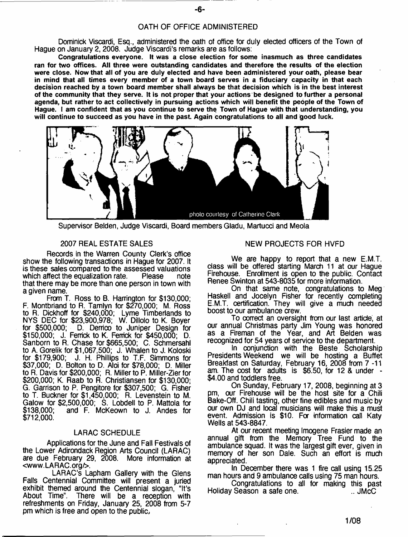#### OATH OF OFFICE ADMINISTERED

Dominick Viscardi, Esq., administered the oath of office for duly elected officers of the Town of Hague on January 2, 2008. Judge Viscardi's remarks are as follows:

**Congratulations everyone. It was a close election for some inasmuch as three candidates ran for two offices. All three were outstanding candidates and therefore the results of the election were close. Now that all of you are duly elected and have been administered your oath, please bear in mind that all times every member of a town board serves in a fiduciary capacity in that each decision reached by a town board member shall always be that decision which is in the best interest of the community that they serve. It is not proper that your actions be designed to further a personal agenda, but rather to act collectively in pursuing actions which will benefit the people of the Town of Hague. I am confident that as you continue to serve the Town of Hague with that understanding, you will continue to succeed as you have in the past Again congratulations to all and good luck.**



Supervisor Belden, Judge Viscardi, Board members Gladu, Martucci and Meola

#### 2007 REAL ESTATE SALES NEW PROJECTS FOR HVFD

Records in the Warren County Clerk's office show the following transactions in Hague for 2007. It is these sales compared to the assessed valuations<br>which affect the equalization rate. Please note which affect the equalization rate. that there may be more than one person in town with a given name.

From T. Ross to B. Harrington for \$130,000; F. Montbriand to R. Tamlyn for \$270,000; M. Ross to R. Dickhoff for \$240,000; Lyme Timberlands to NYS DEC for \$23,900,978; W. Dillolo to K. Boyer for \$500,000; D. Derrico to Juniper Design for \$150,000; J. Ferrick to K. Fenrick for \$450,000; D. Sanborn to R. Chase for \$665,500; C. Schmersahl to A. Gorelik for \$1,067,500; J. Whalen to J. Koloski for \$179,900; J. H. Phillips to T.F. Simmons for \$37,000; D. Bolton to D. Aloi for \$78,000; D. Miller to R. Davis for \$200,000; R. Miller to P. Miller-Zier for \$200,000; K. Raab to R. Christiansen for \$130,000; G. Garrison to P. Pengitore for \$307,500; G. Fisher to T. Buckner for \$1,450,000; R. Levenstein to M. Galow for \$2,500,000; S. Lobdell to P. Mattola for and F. McKeown to J. Andes for \$712,000.

#### LARAC SCHEDULE

Applications for the June and Fall Festivals of the Lower Adirondack Region Arts Council (LARAC) are due February 29, 2008. More information at <[www.LARAC.org/>](http://www.LARAC.org/).

LARAC's Lapham Gallery with the Glens Falls Centennial Committee will present a juried exhibit themed around the Centennial slogan, "It's About Time". There will be a reception with refreshments on Friday, January 25, 2008 from 5-7 pm which is free and open to the public,

We are happy to report that a new E.M.T. class will be offered starting March 11 at our Hague Firehouse. Enrollment is open to the public. Contact Renee Swinton at 543-8035 for more information.

On that same note, congratulations to Meg Haskell and Jocelyn Fisher for recently completing E.M.T. certification. They will give a much needed boost to our ambulance crew.

To correct an oversight from our last article, at our annual Christmas party Jim Young was honored as a Fireman of the Year, and Art Belden was recognized for 54 years of service to the department.

In conjunction with the Beste Scholarship Presidents Weekend we will be hosting a Buffet Breakfast on Saturday, February 16, 2008 from 7-11 am. The cost for adults is \$6.50, for 12 & under - \$4.00 and toddlers free.

On Sunday, February 17, 2008, beginning at 3 pm, our Firehouse will be the host site for a Chili Bake-Off. Chili tasting, other fine edibles and music by our own DJ and local musicians will make this a must event. Admission is \$10. For information call Katy Wells at 543-8847.

At our recent meeting Imogene Frasier made an annual gift from the Memory Tree Fund to the ambulance squad. It was the largest gift ever, given in memory of her son Dale. Such an effort is much appreciated.

In December there was 1 fire call using 15.25 man hours and 9 ambulance calls using 75 man hours.

Congratulations to all for making this past Holiday Season a safe one.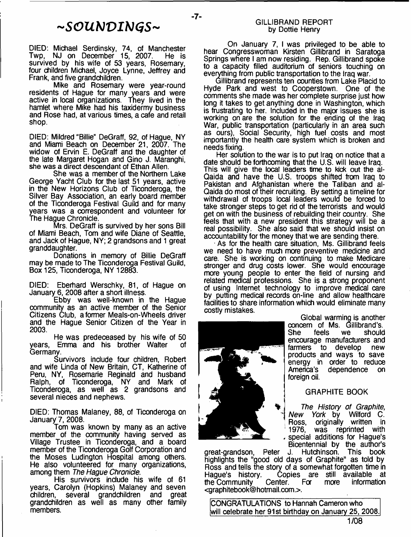## *~SOUNVIb1GS~*

- **7**-

DIED: Michael Serdinsky, 74, of Manchester<br>Twp, NJ on December 15, 2007. He is NJ on December 15, 2007. survived by his wife of 53 years, Rosemary, four children Michael, Joyce Lynne, Jeffrey and Frank, and five grandchildren.

Mike and Rosemary were year-round residents of Hague for many years and were active in local organizations. They lived in the hamlet where Mike had his taxidermy business and Rose had, at various times, a cafe and retail shop.

DIED: Mildred "Billie" DeGraff, 92, of Hague, NY and Miami Beach on December 21, 2007. The widow of Ervin E. DeGraff and the daughter of the late Margaret Hogan and Gino J. Maranghi, she was a direct descendant of Ethan Allen.

She was a member of the Northern Lake George Yacht Club for the last 51 years, active in the New Horizons Club of Ticonderoga, the Silver Bay Association, an early board member of the Ticonderoga Festival Guild and for many years was a correspondent and volunteer for The Hague Chronicle.

Mrs. DeGraff is survived by her sons Bill of Miami Beach, Tom and wife Diane of Seattle, and Jack of Hague, NY; 2 grandsons and 1 great granddaughter.

Donations in memory of Billie DeGraff may be made to The Ticonderoga Festival Guild, Box 125, Ticonderoga, NY 12883.

DIED: Eberhard Werschky, 81, of Hague on January 6, 2008 after a short illness.

Ebby was well-known in the Hague community as an active member of the Senior Citizens Club, a former Meals-on-Wheels driver and the Hague Senior Citizen of the Year in 2003.

He was predeceased by his wife of 50 years, Emma and his brother Walter Germany.

Survivors include four children, Robert and wife Linda of New Britain, CT, Katherine of Peru, NY, Rosemarie Reginald and husband Ralph, of Ticonderoga, NY and Mark of Ticonderoga, as well as 2 grandsons and several nieces and nephews.

DIED: Thomas Maianey, 88, of Ticonderoga on January 7, 2008.

Tom was known by many as an active member of the community having served as Village Trustee in Ticonderoga, and a board member of the Ticonderoga Golf Corporation and the Moses Ludington Hospital among others. He also volunteered for many organizations, among them *The Hague Chronicle.*

His survivors include his wife of 61 years, Carolyn (Hopkins) Maianey and seven several grandchildren and great grandchildren as well as many other family members.

#### GILLIBRAND REPORT by Dottie Henry

On January 7, I was privileged to be able to hear Congresswoman Kirsten Gillibrand in Saratoga Springs where I am now residing. Rep. Gillibrand spoke to a capacity filled auditorium of seniors touching on everything from public transportation to the Iraq war.

Gillibrand represents ten counties from Lake Placid to Hyde Park and west to Cooperstown. One of the comments she made was her complete surprise just how long it takes to get anything done in Washington, which is frustrating to her. Included in the major issues she is working on are the solution for the ending of the Iraq War, public transportation (particularly in an area such as ours), Social Security, high fuel costs and most importantly the health care system which is broken and needs fixing.

Her solution to the war is to put Iraq on notice that a date should be forthcoming that the U.S. will leave Iraq. This will give the local leaders time to kick out the al-Qaida and have the U.S. troops shifted from Iraq to Pakistan and Afghanistan where the Taliban and al-Qaida do most of their recruiting. By setting a timeline for withdrawal of troops local leaders would be forced to take stronger steps to get rid of the terrorists and would get on with the business of rebuilding their country. She feels that with a new president this strategy will be a real possibility. She also said that we should insist on accountability for the money that we are sending there.

• As for the health care situation, Ms. Gillibrand feels we need to have much more preventive medicine and care. She is working on continuing to make Medicare stronger and drug costs lower. She would encourage more young people to enter the field of nursing and related medical professions. She is a strong proponent of using Internet technology to improve medical care by putting medical records on-line and allow healthcare facilities to share information which would eliminate many costly mistakes.



farmers to develop new products and ways to save energy in order to reduce<br>America's dependence on dependence foreign oil. GRAPHITE BOOK

Global warming is another concern of Ms. Gillibrand's.<br>She feels we should She feels we should encourage manufacturers and

*The History of Graphite, New York* by Wilford C. Ross, originally written in 1976, was reprinted with special additions for Hague's Bicentennial by the author's<br>J. Hutchinson. This book

Hutchinson. This book highlights the "good old days of Graphite" as told by Ross and tells the story of a somewhat forgotten time in<br>Haque's history. Copies are still available at Copies are still available at<br>Center. For more information the Community <[graphitebook@hotmail.com>](mailto:graphitebook@hotmail.com). great-grandson, Peter

CONGRATULATIONS to Hannah Cameron who will celebrate her 91st birthday on January 25, 2008.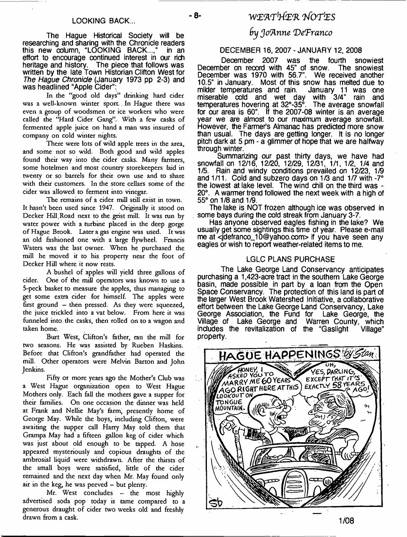The Hague Historical Society will be researching and sharing with the Chronicle readers this new oolumn, "LOOKING BACK...," in an effort to encourage continued interest in our rich heritage and history. The piece that follows was written by the late Town Historian Clifton West for *The Hague Chronicle* (January 1973 pp 2-3) and was headlined "Apple Cider":

In the "good old days" drinking hard cider was a well-known winter sport. In Hague there was even a group of woodsmen or ice workers who were called the "Hard Cider Gang". With a few casks of fermented apple juice on hand a man was insured of company on cold winter nights.

There were lots of wild apple trees in the area, and some not so wild. Both good and wild apples found their way into the cider casks. Many farmers, some hotelmen and most country storekeepers laid in twenty or so barrels for their own use and to share with their customers. In the store cellars some of the cider was allowed to ferment into vinegar.

The remains of a cider mill still exist in town. It hasn't been used since 1947. Originally it stood on Decker Hill.Road next to the grist mill. It was run by water power with a turbine placed in the deep gorge of Hague Brook. Later a gas engine was used. It was an old fashioned one with a large flywheel. Francis Waters was the last owner. When he purchased the mill he moved it to his property near the foot of Decker Hill where it now rests.

A bushel of apples will yield three gallons of cider. One of the mill operators was known to use a 5-peck basket to measure the apples, thus managing to get some extra cider for himself. The apples were first ground - then pressed. As they were squeezed, the juice trickled into a vat below. From here it was funneled into the casks, then rolled on to a wagon and taken home.

Burt West, Clifton's father, ran the mill for two seasons. He was assisted by Rueben Haskins. Before that Clifton's grandfather had operated the mill. Other operators were Melvin Barton and John Jenkins.

Fifty or more years ago the Mother's Club was a West Hague organization open to West Hague Mothers only. Each fall the mothers gave a supper for their families. On one occasion the dinner was held at Frank and Nellie May's form, presendy home of George May. While the boys, including Clifton, were awaiting the supper call Harry May told them that Grampa May had a fifteen gallon keg of cider which was just about old enough to be tapped. A hose appeared mysteriously and copious draughts of the ambrosial liquid were withdrawn. After the thirsts of the small boys were satisfied, little of the cider remained and the next day when Mr. May found only air in the keg, he was peeved  $-$  but plenty.

Mr. West concludes - the most highly advertised soda pop today is tame compared to a generous draught of cider two weeks old and freshly drawn from a cask.

## LOOKING BACK... - <sup>8</sup> - 8 - *WEATHER NOTES*

### *(rj Joanne DeTranco*

#### DECEMBER 16, 2007 - JANUARY 12, 2008

December 2007 was the fourth snowiest December on record with 45" of snow. The snowiest December was 1970 with 56.7". We received another 10.5" in January. Most of this snow has melted due to milder temperatures and rain. January 11 was one miserable cold and wet day with 3/4" rain and temperatures hovering at 32°-35°. The average snowfall for our area is 60". If the 2007-08 winter is an average year we are almost to our maximum average snowfall. However, the Farmer's Almanac has predicted more snow than usual. The days are getting longer. It is no longer pitch dark at 5 pm - a glimmer of hope that we are halfway through winter.

Summarizing our past thirty days, we have had snowfall on 12/16, 12/20, 12/29, 12/31, 1/1, 1/2, 1/4 and 1/5. Rain and windy conditions prevailed on 12/23, 1/9 and 1/11. Cold and subzero days on 1/3 and 1/7 with -7° the lowest at lake level. The wind chill on the third was - 20°. A warmer trend followed the next week with a high of 55° on 1/8 and 1/9.

The lake is NOT frozen although ice was observed in some bays during the cold streak from January 3-7.

Has anyone observed eagles fishing in the lake? We usually get some sightings this time of year. Please e-mail me at <[jdefranco\\_10@yahoo.com>](mailto:jdefranco_10@yahoo.com) if you have seen any eagles or wish to report weather-related items to me.

#### LGLC PLANS PURCHASE

The Lake George Land Conservancy anticipates purchasing a 1,423-acre tract in the southern Lake George basin, made possible in part by a loan from the Open Space Conservancy. The protection of this land is part of the larger West Brook Watershed Initiative, a collaborative effort between the Lake George Land Conservancy, Lake George Association, the Fund for Lake George, the George Association, the Fund for Lake George, the Village of Lake George and Warren County, which includes the revitalization of the "Gaslight Village" property.

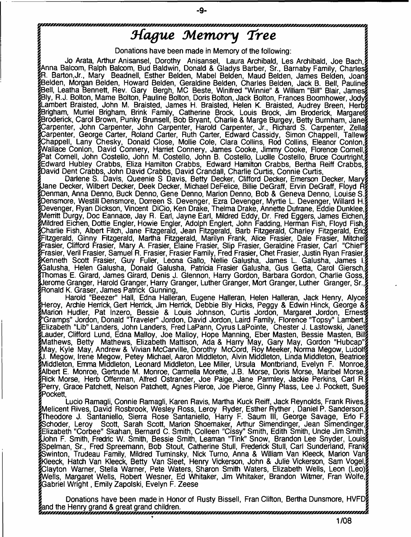# *3-(ague Memory Tree*

**CANADAS CANADA** 

Donations have been made in Memory of the following:

Jo Arata, Arthur Anisansel, Dorothy Anisansel, Laura Archibald, Les Archibald, Joe Bach.i knna Balcom, Ralph Balcom, Bud Baldwin, Donald & Gladys Barber, Sr., Barnaby Family, Charles? [R. Barton,Jr., Mary Beadnell, Esther Belden, Mabel Belden, Maud Belden, James Belden, Joanf Belden, Morgan Belden, Howard Belden, Geraldine Belden, Charles Belden, Jack B. Bell, Pauline Bell, Leatha Bennett, Rev. Gary Bergh, MC Beste, Winifred "Winnie" & William "Bill" Blair, James |Bly, R.J. Bolton, Marne Bolton, Pauline Bolton, Doris Bolton, Jack Bolton, Frances Boomhower, Jod\ [Lambert Braisted, John M. Braisted, James H. Braisted, Helen K. Braisted, Audrey Breen, Herbj Brigham, Murriel Brigham, Brink Family, Catherine Brock, Louis Brock, Jim Broderick, Margarets [Broderick, Carol Brown, Punky Brunsell, Bob Bryant, Charlie & Marge Burgey, Betty Burnham, Jane] Carpenter, John Carpenter, John Carpenter, Harold Carpenter, Jr., Richard S. Carpenter, Zelk Jarpenter, George Carter, Roland Carter, Ruth Carter, Edward Cassidy, Simon Chappell, Tallews Chappell, Lany Chesky, Donald Close, Mollie Cole, Clara Collins, Rod Collins, Eleanor Conlonj Vallace Conlon, David Connery, Harriet Connery, James Cooke, Jimmy Cooke, Florence Cornell,[ Pat Cornell, John Costello, John M. Costello, John B. Costello, Lucille Costello, Bruce Courtright, [Edward Hubley Crabbs, Eliza Hamilton Crabbs, Edward Hamilton Crabbs, Bertha Reiff Crabbs,! fDavid Dent Crabbs, John David Crabbs, David Crandall, Charlie Curtis, Connie Curtis,

Darlene S. Davis, Queenie S. Davis, Betty Decker, Clifford Decker, Emerson Decker, Maryg Jane Decker, Wilbert Decker, Deek Decker, Michael DeFelice, Billie DeGraff, Ervin DeGraff, Floyd R? penman, Anna Denno, Buck Denno, Gene Denno, Marion Denno, Bob & Geneva Denno, Louise S j Densmore, Westill Densmore, Dorreen S. Devenger, Ezra Devenger, Myrtle L. Devenger, Willard H. Devenger, Ryan Dickson, Vincent DiCio, Ken Drake, Thelma Drake, Annette Dufrane, Eddie Dunklee] Merritt Durgy, Doc Eannace, Jay R. Earl, Jayne Earl, Mildred Eddy, Dr. Fred Eggers, James Eichen, e<br>Mildred Eichen, Dottie Engler, Howie Engler, Adolph Englert, John Fadding, Herman Fish, Floyd Fish, Charlie Fish, Albert Fitch, Jane Fitzgerald, Jean Fitzgerald, Barb Fitzgerald, Charley Fitzgerald, End Fitzgerald, Ginny Fitzgerald, Martha Fitzgerald, Marilyn Frank, Alice Frasier, Dale Frasier, Mitchel Frasier, Clifford Frasier, Mary A. Frasier, Elaine Frasier, Slip Frasier, Geraldine Frasier, Carl "Chief"? Frasier, Veril Frasier, Samuel R. Frasier, Frasier Family, Fred Frasier, Chet Frasier, Justin Ryan Frasier, & [Kenneth Scott Frasier, Guy Fuller, Leona Gallo, Nellie Galusha, James L. Galusha, James li 'Jalusha, Helen Galusha, Donald Galusha, Patricia Frasier Galusha, Gus Getta, Carol Gierschj iomas E. Girard, James Girard, Denis J. Glennon, Harry Gordon, Barbara Gordon, Charlie Goss,§ Jerome Granger, Harold Granger, Harry Granger, Luther Granger, Mort Granger, Luther Granger, Sr J [Ronald K. Graser, James Patrick Gunning, *\*

Harold "Beezer" Hall, Edna Halleran, Eugene Halleran, Helen Halleran, Jack Henry, Alyceg [Heroy, Archie Herrick, Gert Herrick, Jim Herrick, Debbie Bly Hicks, Peggy & Edwin Hinck, George [Marion Hudler, Pat Inzero, Bessie & Louis Johnson, Curtis Jordon, Margaret Jordon, Ernests g"Gramps" Jordon, Donald "Traveler" Jordon, David Jordon, Laird Family, Florence "Topsy" Lambert,g [Elizabeth "Lib" Landers, John Landers, Fred LaPann, Cyrus LaPointe, Chester J. Lastowski, Janetj [Lauder, Clifford Lund, Edna Malloy, Joe Malloy, Hope Manning, Eber Masten, Bessie Masten, Bill? [Mathews, Betty Mathews, Elizabeth Mattison, Ada & Harry May, Gary May, Gordon "Hubcap" [May, Kyle May, Andrew & Vivian McCarville, Dorothy McCord, Roy Meeker, Norma Megow, Ludolf Megow, Irene Megow, Petey Michael, Aaron Middleton, Alvin Middleton, Linda Middleton, Beatrices [Middleton, Emma Middleton, Leonard Middleton, Lee Miller, Ursula Montbriand, Evelyn F. Monroe] Albert E. Monroe, Gertrude M. Monroe, Carmella Morette, J.B. Morse, Doris Morse, Maribel Morse, [Rick Morse, Herb Offerman, Alfred Ostrander, Joe Paige, Jane Parmley, Jackie Perkins, Carl R.j [Perry, Grace Patchett, Nelson Patchett, Agnes Pierce, Joe Pierce, Ginny Plass, Lee J. Pockett, Sue? jPockett, j

Lucio Ramagli, Connie Ramagli, Karen Ravis, Martha Kuck Reiff, Jack Reynolds, Frank Rives, Melicent Rives, David Rosbrook, Wesley Ross, Leroy Ryder, Esther Ryther, Daniel P. Sanderson, heodore J. Santaniello, Sierra Rose Santaniello, Harry F. Saum III, George Savage, Erlo F.j >choder, Leroy Scott, Sarah Scott, Marion Shoemaker, Arthur Simendinger, Jean Simendinger, Elizabeth "Corbee" Skahan, Bernard C. Smith, Colleen "Cissy" Smith, Edith Smith, Unde Jim Smith, John F. Smith, Fredric W. Smith, Bessie Smith, Leaman "Tink" Snow, Brandon Lee Snyder, Louis Spelman, Sr., Fred Spreemann, Bob Stout, Catherine Stull, Frederick Stull, Carl Sunderland, Franks Swinton, Trudeau Family, Mildred Tuminsky, Nick Turno, Anna & William Van Kleeck, Marion Vang kleeck, Hatch Van Kleeck, Betty Van Sleet, Henry Vickerson, John & Julie Vickerson, Sam Vogel,§ Clayton Warner, Stella Warner, Pete Waters, Sharon Smith Waters, Elizabeth Wells, Leon (Leo); /ells, Margaret Wells, Robert Wesner, Ed Whitaker, Jim Whitaker, Brandon Witmer, Fran Wolfe, $\S$ Gabriel Wright, Emily Zapolski, Evelyn F. Zeese

Donations have been made in Honor of Rusty Bissell, Fran Clifton, Bertha Dunsmore, HVFD? ind the Henry grand & great grand children.<br>Announcement grand & great grand children.